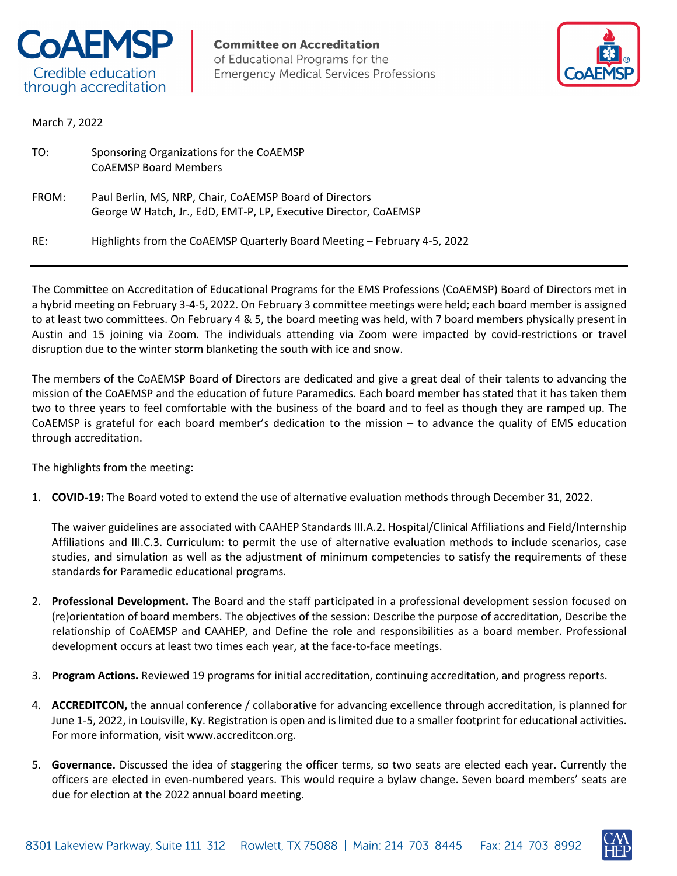

**Committee on Accreditation** of Educational Programs for the **Emergency Medical Services Professions** 



March 7, 2022

| TO:   | Sponsoring Organizations for the CoAEMSP<br><b>COAEMSP Board Members</b>                                                    |
|-------|-----------------------------------------------------------------------------------------------------------------------------|
| FROM: | Paul Berlin, MS, NRP, Chair, CoAEMSP Board of Directors<br>George W Hatch, Jr., EdD, EMT-P, LP, Executive Director, CoAEMSP |
| RE:   | Highlights from the CoAEMSP Quarterly Board Meeting - February 4-5, 2022                                                    |

The Committee on Accreditation of Educational Programs for the EMS Professions (CoAEMSP) Board of Directors met in a hybrid meeting on February 3-4-5, 2022. On February 3 committee meetings were held; each board member is assigned to at least two committees. On February 4 & 5, the board meeting was held, with 7 board members physically present in Austin and 15 joining via Zoom. The individuals attending via Zoom were impacted by covid-restrictions or travel disruption due to the winter storm blanketing the south with ice and snow.

The members of the CoAEMSP Board of Directors are dedicated and give a great deal of their talents to advancing the mission of the CoAEMSP and the education of future Paramedics. Each board member has stated that it has taken them two to three years to feel comfortable with the business of the board and to feel as though they are ramped up. The CoAEMSP is grateful for each board member's dedication to the mission – to advance the quality of EMS education through accreditation.

The highlights from the meeting:

1. **COVID-19:** The Board voted to extend the use of alternative evaluation methods through December 31, 2022.

The waiver guidelines are associated with CAAHEP Standards III.A.2. Hospital/Clinical Affiliations and Field/Internship Affiliations and III.C.3. Curriculum: to permit the use of alternative evaluation methods to include scenarios, case studies, and simulation as well as the adjustment of minimum competencies to satisfy the requirements of these standards for Paramedic educational programs.

- 2. **Professional Development.** The Board and the staff participated in a professional development session focused on (re)orientation of board members. The objectives of the session: Describe the purpose of accreditation, Describe the relationship of CoAEMSP and CAAHEP, and Define the role and responsibilities as a board member. Professional development occurs at least two times each year, at the face-to-face meetings.
- 3. **Program Actions.** Reviewed 19 programs for initial accreditation, continuing accreditation, and progress reports.
- 4. **ACCREDITCON,** the annual conference / collaborative for advancing excellence through accreditation, is planned for June 1-5, 2022, in Louisville, Ky. Registration is open and is limited due to a smaller footprint for educational activities. For more information, visit www.accreditcon.org.
- 5. **Governance.** Discussed the idea of staggering the officer terms, so two seats are elected each year. Currently the officers are elected in even-numbered years. This would require a bylaw change. Seven board members' seats are due for election at the 2022 annual board meeting.

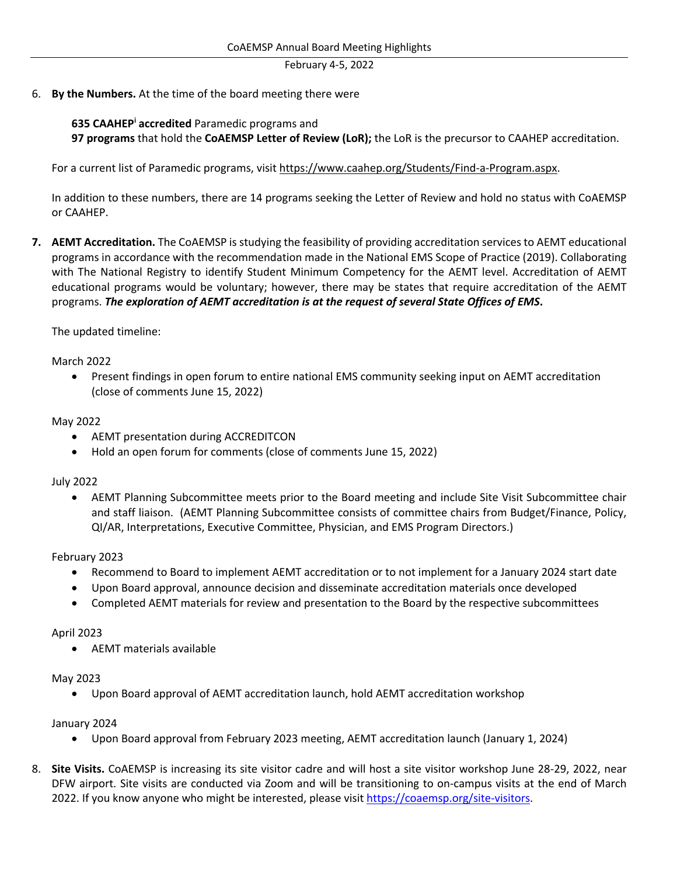February 4-5, 2022

6. **By the Numbers.** At the time of the board meeting there were

# **635 CAAHEPi accredited** Paramedic programs and

**97 programs** that hold the **CoAEMSP Letter of Review (LoR);** the LoR is the precursor to CAAHEP accreditation.

For a current list of Paramedic programs, visit https://www.caahep.org/Students/Find-a-Program.aspx.

In addition to these numbers, there are 14 programs seeking the Letter of Review and hold no status with CoAEMSP or CAAHEP.

**7. AEMT Accreditation.** The CoAEMSP is studying the feasibility of providing accreditation services to AEMT educational programs in accordance with the recommendation made in the National EMS Scope of Practice (2019). Collaborating with The National Registry to identify Student Minimum Competency for the AEMT level. Accreditation of AEMT educational programs would be voluntary; however, there may be states that require accreditation of the AEMT programs. *The exploration of AEMT accreditation is at the request of several State Offices of EMS***.**

### The updated timeline:

### March 2022

• Present findings in open forum to entire national EMS community seeking input on AEMT accreditation (close of comments June 15, 2022)

### May 2022

- AEMT presentation during ACCREDITCON
- Hold an open forum for comments (close of comments June 15, 2022)

## July 2022

• AEMT Planning Subcommittee meets prior to the Board meeting and include Site Visit Subcommittee chair and staff liaison. (AEMT Planning Subcommittee consists of committee chairs from Budget/Finance, Policy, QI/AR, Interpretations, Executive Committee, Physician, and EMS Program Directors.)

## February 2023

- Recommend to Board to implement AEMT accreditation or to not implement for a January 2024 start date
- Upon Board approval, announce decision and disseminate accreditation materials once developed
- Completed AEMT materials for review and presentation to the Board by the respective subcommittees

## April 2023

• AEMT materials available

### May 2023

• Upon Board approval of AEMT accreditation launch, hold AEMT accreditation workshop

## January 2024

- Upon Board approval from February 2023 meeting, AEMT accreditation launch (January 1, 2024)
- 8. **Site Visits.** CoAEMSP is increasing its site visitor cadre and will host a site visitor workshop June 28-29, 2022, near DFW airport. Site visits are conducted via Zoom and will be transitioning to on-campus visits at the end of March 2022. If you know anyone who might be interested, please visit https://coaemsp.org/site-visitors.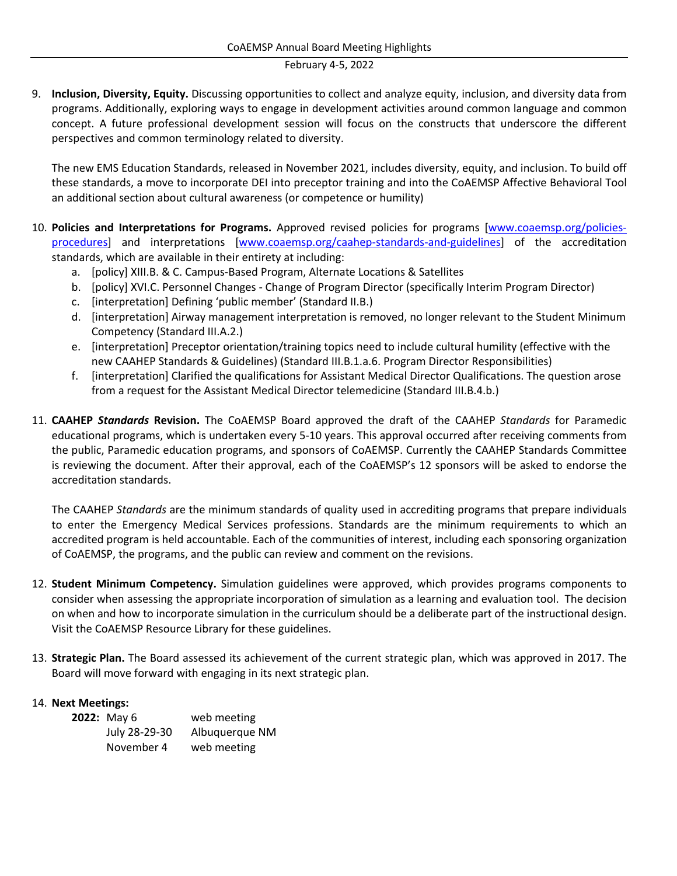#### February 4-5, 2022

9. **Inclusion, Diversity, Equity.** Discussing opportunities to collect and analyze equity, inclusion, and diversity data from programs. Additionally, exploring ways to engage in development activities around common language and common concept. A future professional development session will focus on the constructs that underscore the different perspectives and common terminology related to diversity.

The new EMS Education Standards, released in November 2021, includes diversity, equity, and inclusion. To build off these standards, a move to incorporate DEI into preceptor training and into the CoAEMSP Affective Behavioral Tool an additional section about cultural awareness (or competence or humility)

- 10. **Policies and Interpretations for Programs.** Approved revised policies for programs [www.coaemsp.org/policiesprocedures] and interpretations [www.coaemsp.org/caahep-standards-and-guidelines] of the accreditation standards, which are available in their entirety at including:
	- a. [policy] XIII.B. & C. Campus-Based Program, Alternate Locations & Satellites
	- b. [policy] XVI.C. Personnel Changes Change of Program Director (specifically Interim Program Director)
	- c. [interpretation] Defining 'public member' (Standard II.B.)
	- d. [interpretation] Airway management interpretation is removed, no longer relevant to the Student Minimum Competency (Standard III.A.2.)
	- e. [interpretation] Preceptor orientation/training topics need to include cultural humility (effective with the new CAAHEP Standards & Guidelines) (Standard III.B.1.a.6. Program Director Responsibilities)
	- f. [interpretation] Clarified the qualifications for Assistant Medical Director Qualifications. The question arose from a request for the Assistant Medical Director telemedicine (Standard III.B.4.b.)
- 11. **CAAHEP** *Standards* **Revision.** The CoAEMSP Board approved the draft of the CAAHEP *Standards* for Paramedic educational programs, which is undertaken every 5-10 years. This approval occurred after receiving comments from the public, Paramedic education programs, and sponsors of CoAEMSP. Currently the CAAHEP Standards Committee is reviewing the document. After their approval, each of the CoAEMSP's 12 sponsors will be asked to endorse the accreditation standards.

The CAAHEP *Standards* are the minimum standards of quality used in accrediting programs that prepare individuals to enter the Emergency Medical Services professions. Standards are the minimum requirements to which an accredited program is held accountable. Each of the communities of interest, including each sponsoring organization of CoAEMSP, the programs, and the public can review and comment on the revisions.

- 12. **Student Minimum Competency.** Simulation guidelines were approved, which provides programs components to consider when assessing the appropriate incorporation of simulation as a learning and evaluation tool. The decision on when and how to incorporate simulation in the curriculum should be a deliberate part of the instructional design. Visit the CoAEMSP Resource Library for these guidelines.
- 13. **Strategic Plan.** The Board assessed its achievement of the current strategic plan, which was approved in 2017. The Board will move forward with engaging in its next strategic plan.

## 14. **Next Meetings:**

| 2022: May 6   | web meeting    |
|---------------|----------------|
| July 28-29-30 | Albuquerque NM |
| November 4    | web meeting    |